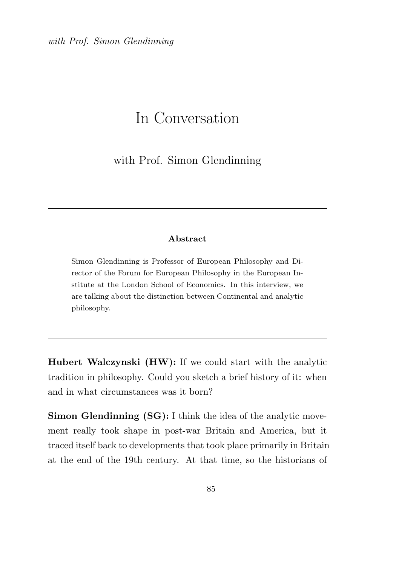with Prof. Simon Glendinning

## In Conversation

with Prof. Simon Glendinning

## Abstract

Simon Glendinning is Professor of European Philosophy and Director of the Forum for European Philosophy in the European Institute at the London School of Economics. In this interview, we are talking about the distinction between Continental and analytic philosophy.

Hubert Walczynski (HW): If we could start with the analytic tradition in philosophy. Could you sketch a brief history of it: when and in what circumstances was it born?

Simon Glendinning (SG): I think the idea of the analytic movement really took shape in post-war Britain and America, but it traced itself back to developments that took place primarily in Britain at the end of the 19th century. At that time, so the historians of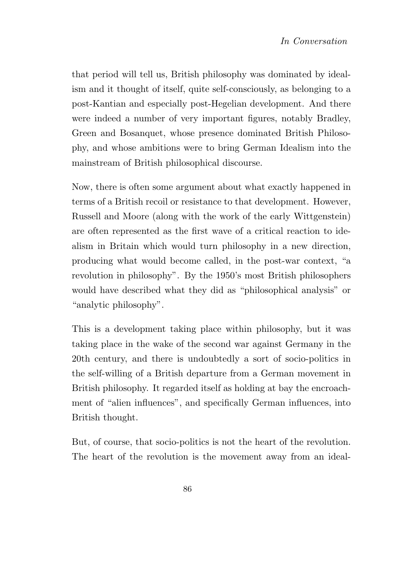that period will tell us, British philosophy was dominated by idealism and it thought of itself, quite self-consciously, as belonging to a post-Kantian and especially post-Hegelian development. And there were indeed a number of very important figures, notably Bradley, Green and Bosanquet, whose presence dominated British Philosophy, and whose ambitions were to bring German Idealism into the mainstream of British philosophical discourse.

Now, there is often some argument about what exactly happened in terms of a British recoil or resistance to that development. However, Russell and Moore (along with the work of the early Wittgenstein) are often represented as the first wave of a critical reaction to idealism in Britain which would turn philosophy in a new direction, producing what would become called, in the post-war context, "a revolution in philosophy". By the 1950's most British philosophers would have described what they did as "philosophical analysis" or "analytic philosophy".

This is a development taking place within philosophy, but it was taking place in the wake of the second war against Germany in the 20th century, and there is undoubtedly a sort of socio-politics in the self-willing of a British departure from a German movement in British philosophy. It regarded itself as holding at bay the encroachment of "alien influences", and specifically German influences, into British thought.

But, of course, that socio-politics is not the heart of the revolution. The heart of the revolution is the movement away from an ideal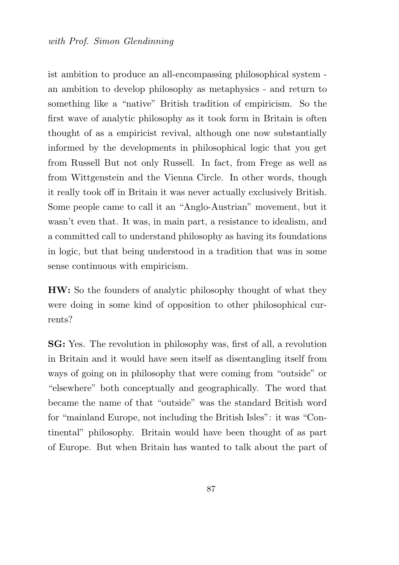ist ambition to produce an all-encompassing philosophical system an ambition to develop philosophy as metaphysics - and return to something like a "native" British tradition of empiricism. So the first wave of analytic philosophy as it took form in Britain is often thought of as a empiricist revival, although one now substantially informed by the developments in philosophical logic that you get from Russell But not only Russell. In fact, from Frege as well as from Wittgenstein and the Vienna Circle. In other words, though it really took off in Britain it was never actually exclusively British. Some people came to call it an "Anglo-Austrian" movement, but it wasn't even that. It was, in main part, a resistance to idealism, and a committed call to understand philosophy as having its foundations in logic, but that being understood in a tradition that was in some sense continuous with empiricism.

HW: So the founders of analytic philosophy thought of what they were doing in some kind of opposition to other philosophical currents?

SG: Yes. The revolution in philosophy was, first of all, a revolution in Britain and it would have seen itself as disentangling itself from ways of going on in philosophy that were coming from "outside" or "elsewhere" both conceptually and geographically. The word that became the name of that "outside" was the standard British word for "mainland Europe, not including the British Isles": it was "Continental" philosophy. Britain would have been thought of as part of Europe. But when Britain has wanted to talk about the part of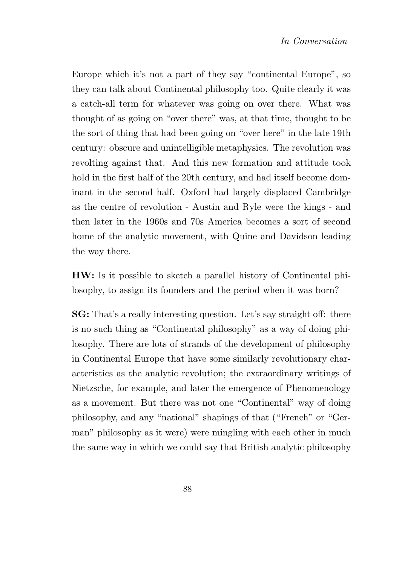Europe which it's not a part of they say "continental Europe", so they can talk about Continental philosophy too. Quite clearly it was a catch-all term for whatever was going on over there. What was thought of as going on "over there" was, at that time, thought to be the sort of thing that had been going on "over here" in the late 19th century: obscure and unintelligible metaphysics. The revolution was revolting against that. And this new formation and attitude took hold in the first half of the 20th century, and had itself become dominant in the second half. Oxford had largely displaced Cambridge as the centre of revolution - Austin and Ryle were the kings - and then later in the 1960s and 70s America becomes a sort of second home of the analytic movement, with Quine and Davidson leading the way there.

HW: Is it possible to sketch a parallel history of Continental philosophy, to assign its founders and the period when it was born?

SG: That's a really interesting question. Let's say straight off: there is no such thing as "Continental philosophy" as a way of doing philosophy. There are lots of strands of the development of philosophy in Continental Europe that have some similarly revolutionary characteristics as the analytic revolution; the extraordinary writings of Nietzsche, for example, and later the emergence of Phenomenology as a movement. But there was not one "Continental" way of doing philosophy, and any "national" shapings of that ("French" or "German" philosophy as it were) were mingling with each other in much the same way in which we could say that British analytic philosophy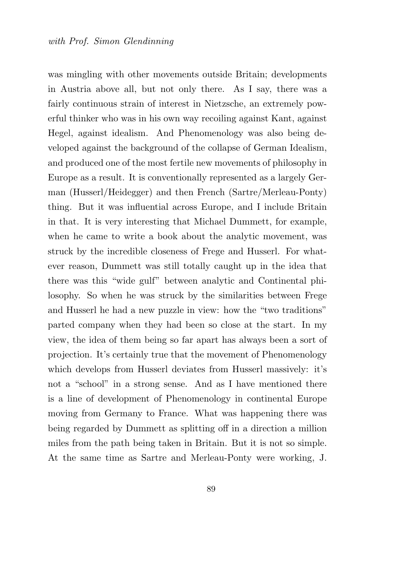was mingling with other movements outside Britain; developments in Austria above all, but not only there. As I say, there was a fairly continuous strain of interest in Nietzsche, an extremely powerful thinker who was in his own way recoiling against Kant, against Hegel, against idealism. And Phenomenology was also being developed against the background of the collapse of German Idealism, and produced one of the most fertile new movements of philosophy in Europe as a result. It is conventionally represented as a largely German (Husserl/Heidegger) and then French (Sartre/Merleau-Ponty) thing. But it was influential across Europe, and I include Britain in that. It is very interesting that Michael Dummett, for example, when he came to write a book about the analytic movement, was struck by the incredible closeness of Frege and Husserl. For whatever reason, Dummett was still totally caught up in the idea that there was this "wide gulf" between analytic and Continental philosophy. So when he was struck by the similarities between Frege and Husserl he had a new puzzle in view: how the "two traditions" parted company when they had been so close at the start. In my view, the idea of them being so far apart has always been a sort of projection. It's certainly true that the movement of Phenomenology which develops from Husserl deviates from Husserl massively: it's not a "school" in a strong sense. And as I have mentioned there is a line of development of Phenomenology in continental Europe moving from Germany to France. What was happening there was being regarded by Dummett as splitting off in a direction a million miles from the path being taken in Britain. But it is not so simple. At the same time as Sartre and Merleau-Ponty were working, J.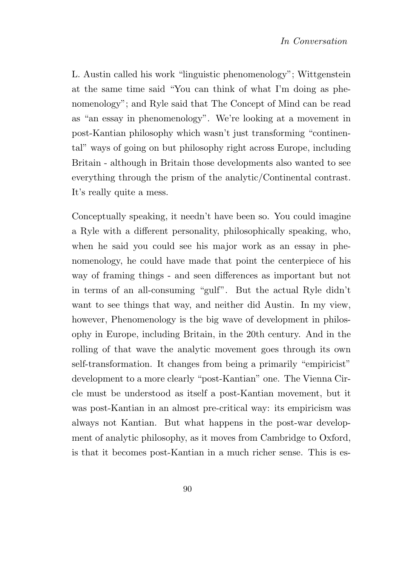L. Austin called his work "linguistic phenomenology"; Wittgenstein at the same time said "You can think of what I'm doing as phenomenology"; and Ryle said that The Concept of Mind can be read as "an essay in phenomenology". We're looking at a movement in post-Kantian philosophy which wasn't just transforming "continental" ways of going on but philosophy right across Europe, including Britain - although in Britain those developments also wanted to see everything through the prism of the analytic/Continental contrast. It's really quite a mess.

Conceptually speaking, it needn't have been so. You could imagine a Ryle with a different personality, philosophically speaking, who, when he said you could see his major work as an essay in phenomenology, he could have made that point the centerpiece of his way of framing things - and seen differences as important but not in terms of an all-consuming "gulf". But the actual Ryle didn't want to see things that way, and neither did Austin. In my view, however, Phenomenology is the big wave of development in philosophy in Europe, including Britain, in the 20th century. And in the rolling of that wave the analytic movement goes through its own self-transformation. It changes from being a primarily "empiricist" development to a more clearly "post-Kantian" one. The Vienna Circle must be understood as itself a post-Kantian movement, but it was post-Kantian in an almost pre-critical way: its empiricism was always not Kantian. But what happens in the post-war development of analytic philosophy, as it moves from Cambridge to Oxford, is that it becomes post-Kantian in a much richer sense. This is es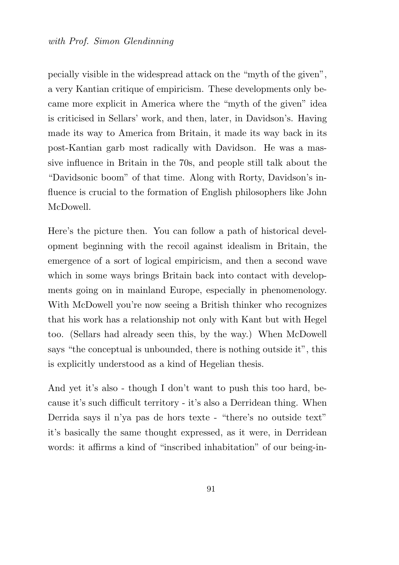pecially visible in the widespread attack on the "myth of the given", a very Kantian critique of empiricism. These developments only became more explicit in America where the "myth of the given" idea is criticised in Sellars' work, and then, later, in Davidson's. Having made its way to America from Britain, it made its way back in its post-Kantian garb most radically with Davidson. He was a massive influence in Britain in the 70s, and people still talk about the "Davidsonic boom" of that time. Along with Rorty, Davidson's influence is crucial to the formation of English philosophers like John McDowell.

Here's the picture then. You can follow a path of historical development beginning with the recoil against idealism in Britain, the emergence of a sort of logical empiricism, and then a second wave which in some ways brings Britain back into contact with developments going on in mainland Europe, especially in phenomenology. With McDowell you're now seeing a British thinker who recognizes that his work has a relationship not only with Kant but with Hegel too. (Sellars had already seen this, by the way.) When McDowell says "the conceptual is unbounded, there is nothing outside it", this is explicitly understood as a kind of Hegelian thesis.

And yet it's also - though I don't want to push this too hard, because it's such difficult territory - it's also a Derridean thing. When Derrida says il n'ya pas de hors texte - "there's no outside text" it's basically the same thought expressed, as it were, in Derridean words: it affirms a kind of "inscribed inhabitation" of our being-in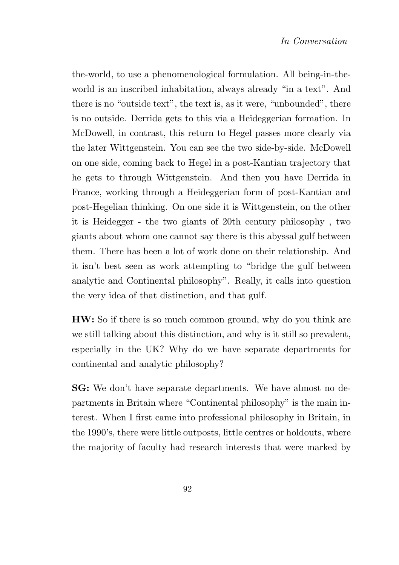the-world, to use a phenomenological formulation. All being-in-theworld is an inscribed inhabitation, always already "in a text". And there is no "outside text", the text is, as it were, "unbounded", there is no outside. Derrida gets to this via a Heideggerian formation. In McDowell, in contrast, this return to Hegel passes more clearly via the later Wittgenstein. You can see the two side-by-side. McDowell on one side, coming back to Hegel in a post-Kantian trajectory that he gets to through Wittgenstein. And then you have Derrida in France, working through a Heideggerian form of post-Kantian and post-Hegelian thinking. On one side it is Wittgenstein, on the other it is Heidegger - the two giants of 20th century philosophy , two giants about whom one cannot say there is this abyssal gulf between them. There has been a lot of work done on their relationship. And it isn't best seen as work attempting to "bridge the gulf between analytic and Continental philosophy". Really, it calls into question the very idea of that distinction, and that gulf.

HW: So if there is so much common ground, why do you think are we still talking about this distinction, and why is it still so prevalent, especially in the UK? Why do we have separate departments for continental and analytic philosophy?

SG: We don't have separate departments. We have almost no departments in Britain where "Continental philosophy" is the main interest. When I first came into professional philosophy in Britain, in the 1990's, there were little outposts, little centres or holdouts, where the majority of faculty had research interests that were marked by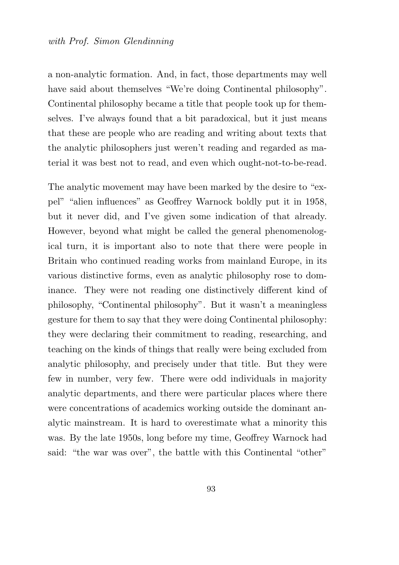a non-analytic formation. And, in fact, those departments may well have said about themselves "We're doing Continental philosophy". Continental philosophy became a title that people took up for themselves. I've always found that a bit paradoxical, but it just means that these are people who are reading and writing about texts that the analytic philosophers just weren't reading and regarded as material it was best not to read, and even which ought-not-to-be-read.

The analytic movement may have been marked by the desire to "expel" "alien influences" as Geoffrey Warnock boldly put it in 1958, but it never did, and I've given some indication of that already. However, beyond what might be called the general phenomenological turn, it is important also to note that there were people in Britain who continued reading works from mainland Europe, in its various distinctive forms, even as analytic philosophy rose to dominance. They were not reading one distinctively different kind of philosophy, "Continental philosophy". But it wasn't a meaningless gesture for them to say that they were doing Continental philosophy: they were declaring their commitment to reading, researching, and teaching on the kinds of things that really were being excluded from analytic philosophy, and precisely under that title. But they were few in number, very few. There were odd individuals in majority analytic departments, and there were particular places where there were concentrations of academics working outside the dominant analytic mainstream. It is hard to overestimate what a minority this was. By the late 1950s, long before my time, Geoffrey Warnock had said: "the war was over", the battle with this Continental "other"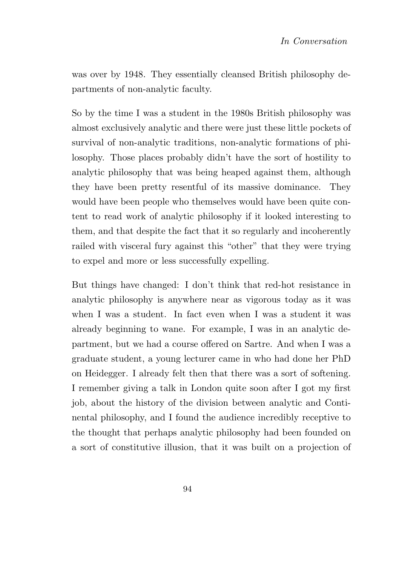was over by 1948. They essentially cleansed British philosophy departments of non-analytic faculty.

So by the time I was a student in the 1980s British philosophy was almost exclusively analytic and there were just these little pockets of survival of non-analytic traditions, non-analytic formations of philosophy. Those places probably didn't have the sort of hostility to analytic philosophy that was being heaped against them, although they have been pretty resentful of its massive dominance. They would have been people who themselves would have been quite content to read work of analytic philosophy if it looked interesting to them, and that despite the fact that it so regularly and incoherently railed with visceral fury against this "other" that they were trying to expel and more or less successfully expelling.

But things have changed: I don't think that red-hot resistance in analytic philosophy is anywhere near as vigorous today as it was when I was a student. In fact even when I was a student it was already beginning to wane. For example, I was in an analytic department, but we had a course offered on Sartre. And when I was a graduate student, a young lecturer came in who had done her PhD on Heidegger. I already felt then that there was a sort of softening. I remember giving a talk in London quite soon after I got my first job, about the history of the division between analytic and Continental philosophy, and I found the audience incredibly receptive to the thought that perhaps analytic philosophy had been founded on a sort of constitutive illusion, that it was built on a projection of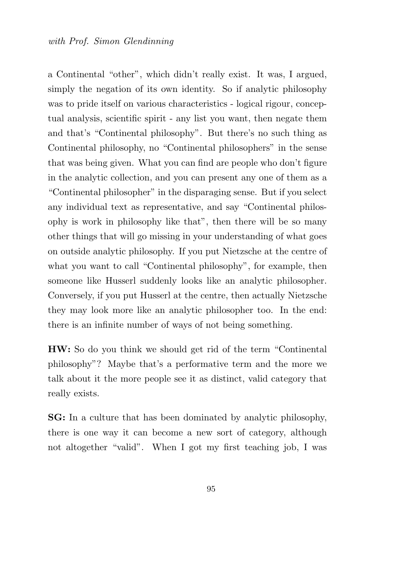a Continental "other", which didn't really exist. It was, I argued, simply the negation of its own identity. So if analytic philosophy was to pride itself on various characteristics - logical rigour, conceptual analysis, scientific spirit - any list you want, then negate them and that's "Continental philosophy". But there's no such thing as Continental philosophy, no "Continental philosophers" in the sense that was being given. What you can find are people who don't figure in the analytic collection, and you can present any one of them as a "Continental philosopher" in the disparaging sense. But if you select any individual text as representative, and say "Continental philosophy is work in philosophy like that", then there will be so many other things that will go missing in your understanding of what goes on outside analytic philosophy. If you put Nietzsche at the centre of what you want to call "Continental philosophy", for example, then someone like Husserl suddenly looks like an analytic philosopher. Conversely, if you put Husserl at the centre, then actually Nietzsche they may look more like an analytic philosopher too. In the end: there is an infinite number of ways of not being something.

HW: So do you think we should get rid of the term "Continental philosophy"? Maybe that's a performative term and the more we talk about it the more people see it as distinct, valid category that really exists.

SG: In a culture that has been dominated by analytic philosophy, there is one way it can become a new sort of category, although not altogether "valid". When I got my first teaching job, I was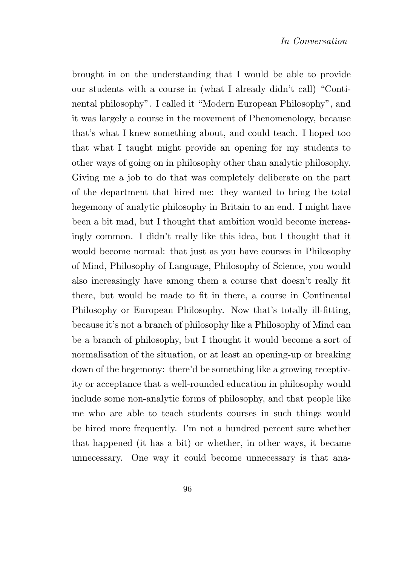brought in on the understanding that I would be able to provide our students with a course in (what I already didn't call) "Continental philosophy". I called it "Modern European Philosophy", and it was largely a course in the movement of Phenomenology, because that's what I knew something about, and could teach. I hoped too that what I taught might provide an opening for my students to other ways of going on in philosophy other than analytic philosophy. Giving me a job to do that was completely deliberate on the part of the department that hired me: they wanted to bring the total hegemony of analytic philosophy in Britain to an end. I might have been a bit mad, but I thought that ambition would become increasingly common. I didn't really like this idea, but I thought that it would become normal: that just as you have courses in Philosophy of Mind, Philosophy of Language, Philosophy of Science, you would also increasingly have among them a course that doesn't really fit there, but would be made to fit in there, a course in Continental Philosophy or European Philosophy. Now that's totally ill-fitting, because it's not a branch of philosophy like a Philosophy of Mind can be a branch of philosophy, but I thought it would become a sort of normalisation of the situation, or at least an opening-up or breaking down of the hegemony: there'd be something like a growing receptivity or acceptance that a well-rounded education in philosophy would include some non-analytic forms of philosophy, and that people like me who are able to teach students courses in such things would be hired more frequently. I'm not a hundred percent sure whether that happened (it has a bit) or whether, in other ways, it became unnecessary. One way it could become unnecessary is that ana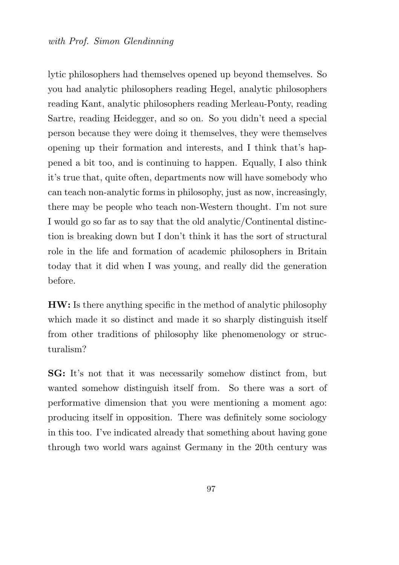lytic philosophers had themselves opened up beyond themselves. So you had analytic philosophers reading Hegel, analytic philosophers reading Kant, analytic philosophers reading Merleau-Ponty, reading Sartre, reading Heidegger, and so on. So you didn't need a special person because they were doing it themselves, they were themselves opening up their formation and interests, and I think that's happened a bit too, and is continuing to happen. Equally, I also think it's true that, quite often, departments now will have somebody who can teach non-analytic forms in philosophy, just as now, increasingly, there may be people who teach non-Western thought. I'm not sure I would go so far as to say that the old analytic/Continental distinction is breaking down but I don't think it has the sort of structural role in the life and formation of academic philosophers in Britain today that it did when I was young, and really did the generation before.

HW: Is there anything specific in the method of analytic philosophy which made it so distinct and made it so sharply distinguish itself from other traditions of philosophy like phenomenology or structuralism?

SG: It's not that it was necessarily somehow distinct from, but wanted somehow distinguish itself from. So there was a sort of performative dimension that you were mentioning a moment ago: producing itself in opposition. There was definitely some sociology in this too. I've indicated already that something about having gone through two world wars against Germany in the 20th century was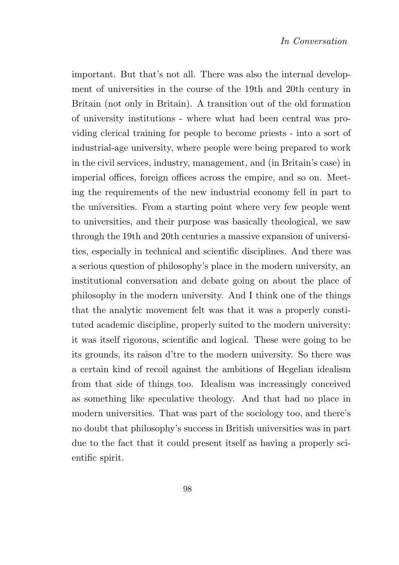important. But that's not all. There was also the internal development of universities in the course of the 19th and 20th century in Britain (not only in Britain). A transition out of the old formation of university institutions - where what had been central was providing clerical training for people to become priests - into a sort of industrial-age university, where people were being prepared to work in the civil services, industry, management, and (in Britain's case) in imperial offices, foreign offices across the empire, and so on. Meeting the requirements of the new industrial economy fell in part to the universities. From a starting point where very few people went to universities, and their purpose was basically theological, we saw through the 19th and 20th centuries a massive expansion of universities, especially in technical and scientific disciplines. And there was a serious question of philosophy's place in the modern university, an institutional conversation and debate going on about the place of philosophy in the modern university. And I think one of the things that the analytic movement felt was that it was a properly constituted academic discipline, properly suited to the modern university: it was itself rigorous, scientific and logical. These were going to be its grounds, its raison d'tre to the modern university. So there was a certain kind of recoil against the ambitions of Hegelian idealism from that side of things too. Idealism was increasingly conceived as something like speculative theology. And that had no place in modern universities. That was part of the sociology too, and there's no doubt that philosophy's success in British universities was in part due to the fact that it could present itself as having a properly scientific spirit.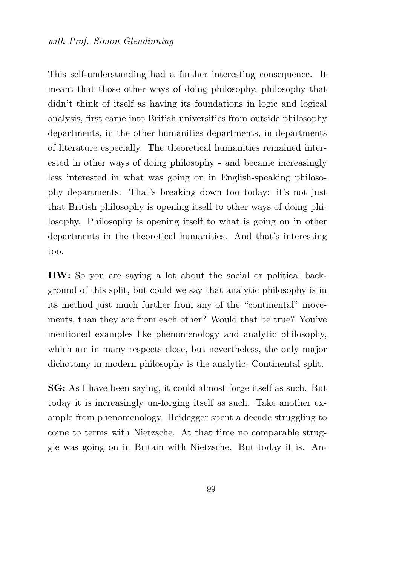This self-understanding had a further interesting consequence. It meant that those other ways of doing philosophy, philosophy that didn't think of itself as having its foundations in logic and logical analysis, first came into British universities from outside philosophy departments, in the other humanities departments, in departments of literature especially. The theoretical humanities remained interested in other ways of doing philosophy - and became increasingly less interested in what was going on in English-speaking philosophy departments. That's breaking down too today: it's not just that British philosophy is opening itself to other ways of doing philosophy. Philosophy is opening itself to what is going on in other departments in the theoretical humanities. And that's interesting too.

HW: So you are saying a lot about the social or political background of this split, but could we say that analytic philosophy is in its method just much further from any of the "continental" movements, than they are from each other? Would that be true? You've mentioned examples like phenomenology and analytic philosophy, which are in many respects close, but nevertheless, the only major dichotomy in modern philosophy is the analytic- Continental split.

SG: As I have been saying, it could almost forge itself as such. But today it is increasingly un-forging itself as such. Take another example from phenomenology. Heidegger spent a decade struggling to come to terms with Nietzsche. At that time no comparable struggle was going on in Britain with Nietzsche. But today it is. An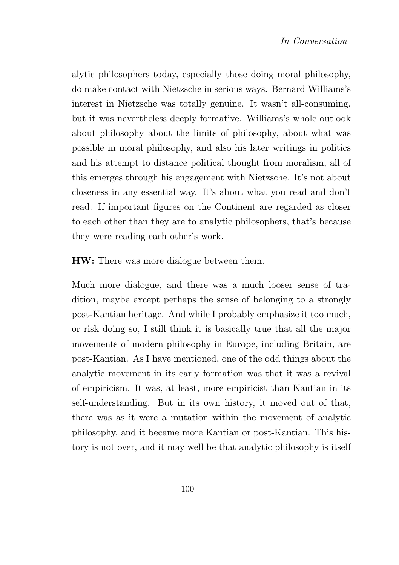alytic philosophers today, especially those doing moral philosophy, do make contact with Nietzsche in serious ways. Bernard Williams's interest in Nietzsche was totally genuine. It wasn't all-consuming, but it was nevertheless deeply formative. Williams's whole outlook about philosophy about the limits of philosophy, about what was possible in moral philosophy, and also his later writings in politics and his attempt to distance political thought from moralism, all of this emerges through his engagement with Nietzsche. It's not about closeness in any essential way. It's about what you read and don't read. If important figures on the Continent are regarded as closer to each other than they are to analytic philosophers, that's because they were reading each other's work.

HW: There was more dialogue between them.

Much more dialogue, and there was a much looser sense of tradition, maybe except perhaps the sense of belonging to a strongly post-Kantian heritage. And while I probably emphasize it too much, or risk doing so, I still think it is basically true that all the major movements of modern philosophy in Europe, including Britain, are post-Kantian. As I have mentioned, one of the odd things about the analytic movement in its early formation was that it was a revival of empiricism. It was, at least, more empiricist than Kantian in its self-understanding. But in its own history, it moved out of that, there was as it were a mutation within the movement of analytic philosophy, and it became more Kantian or post-Kantian. This history is not over, and it may well be that analytic philosophy is itself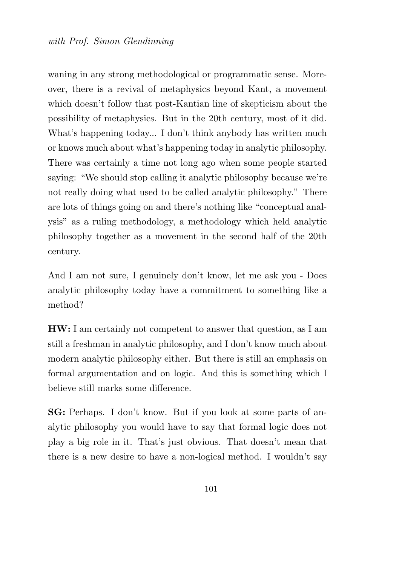waning in any strong methodological or programmatic sense. Moreover, there is a revival of metaphysics beyond Kant, a movement which doesn't follow that post-Kantian line of skepticism about the possibility of metaphysics. But in the 20th century, most of it did. What's happening today... I don't think anybody has written much or knows much about what's happening today in analytic philosophy. There was certainly a time not long ago when some people started saying: "We should stop calling it analytic philosophy because we're not really doing what used to be called analytic philosophy." There are lots of things going on and there's nothing like "conceptual analysis" as a ruling methodology, a methodology which held analytic philosophy together as a movement in the second half of the 20th century.

And I am not sure, I genuinely don't know, let me ask you - Does analytic philosophy today have a commitment to something like a method?

HW: I am certainly not competent to answer that question, as I am still a freshman in analytic philosophy, and I don't know much about modern analytic philosophy either. But there is still an emphasis on formal argumentation and on logic. And this is something which I believe still marks some difference.

SG: Perhaps. I don't know. But if you look at some parts of analytic philosophy you would have to say that formal logic does not play a big role in it. That's just obvious. That doesn't mean that there is a new desire to have a non-logical method. I wouldn't say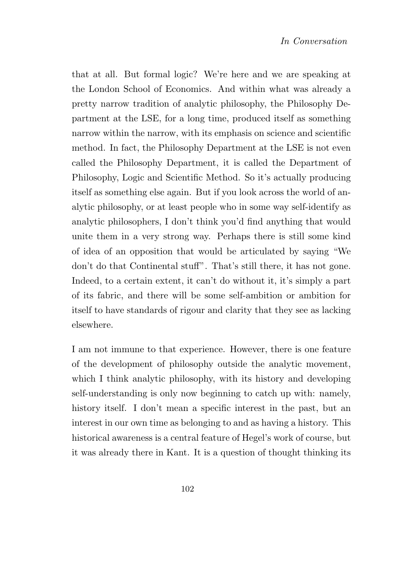that at all. But formal logic? We're here and we are speaking at the London School of Economics. And within what was already a pretty narrow tradition of analytic philosophy, the Philosophy Department at the LSE, for a long time, produced itself as something narrow within the narrow, with its emphasis on science and scientific method. In fact, the Philosophy Department at the LSE is not even called the Philosophy Department, it is called the Department of Philosophy, Logic and Scientific Method. So it's actually producing itself as something else again. But if you look across the world of analytic philosophy, or at least people who in some way self-identify as analytic philosophers, I don't think you'd find anything that would unite them in a very strong way. Perhaps there is still some kind of idea of an opposition that would be articulated by saying "We don't do that Continental stuff". That's still there, it has not gone. Indeed, to a certain extent, it can't do without it, it's simply a part of its fabric, and there will be some self-ambition or ambition for itself to have standards of rigour and clarity that they see as lacking elsewhere.

I am not immune to that experience. However, there is one feature of the development of philosophy outside the analytic movement, which I think analytic philosophy, with its history and developing self-understanding is only now beginning to catch up with: namely, history itself. I don't mean a specific interest in the past, but an interest in our own time as belonging to and as having a history. This historical awareness is a central feature of Hegel's work of course, but it was already there in Kant. It is a question of thought thinking its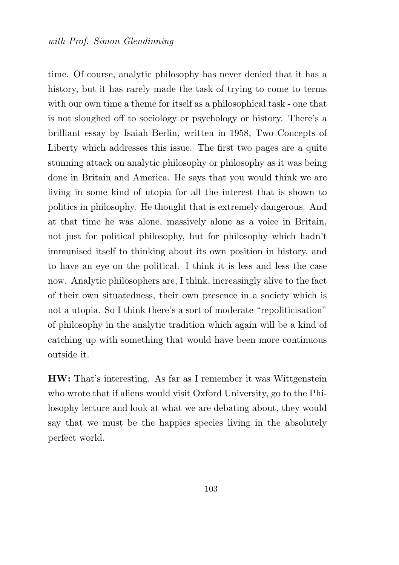time. Of course, analytic philosophy has never denied that it has a history, but it has rarely made the task of trying to come to terms with our own time a theme for itself as a philosophical task - one that is not sloughed off to sociology or psychology or history. There's a brilliant essay by Isaiah Berlin, written in 1958, Two Concepts of Liberty which addresses this issue. The first two pages are a quite stunning attack on analytic philosophy or philosophy as it was being done in Britain and America. He says that you would think we are living in some kind of utopia for all the interest that is shown to politics in philosophy. He thought that is extremely dangerous. And at that time he was alone, massively alone as a voice in Britain, not just for political philosophy, but for philosophy which hadn't immunised itself to thinking about its own position in history, and to have an eye on the political. I think it is less and less the case now. Analytic philosophers are, I think, increasingly alive to the fact of their own situatedness, their own presence in a society which is not a utopia. So I think there's a sort of moderate "repoliticisation" of philosophy in the analytic tradition which again will be a kind of catching up with something that would have been more continuous outside it.

HW: That's interesting. As far as I remember it was Wittgenstein who wrote that if aliens would visit Oxford University, go to the Philosophy lecture and look at what we are debating about, they would say that we must be the happies species living in the absolutely perfect world.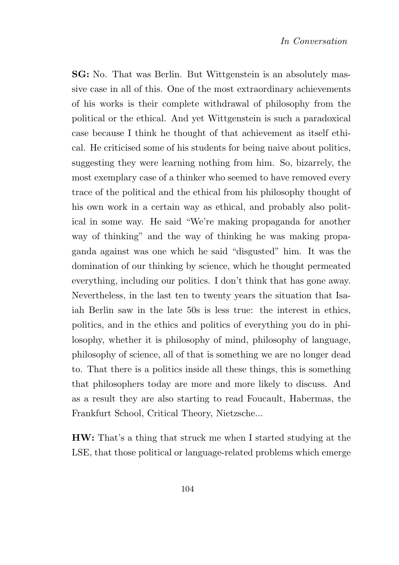SG: No. That was Berlin. But Wittgenstein is an absolutely massive case in all of this. One of the most extraordinary achievements of his works is their complete withdrawal of philosophy from the political or the ethical. And yet Wittgenstein is such a paradoxical case because I think he thought of that achievement as itself ethical. He criticised some of his students for being naive about politics, suggesting they were learning nothing from him. So, bizarrely, the most exemplary case of a thinker who seemed to have removed every trace of the political and the ethical from his philosophy thought of his own work in a certain way as ethical, and probably also political in some way. He said "We're making propaganda for another way of thinking" and the way of thinking he was making propaganda against was one which he said "disgusted" him. It was the domination of our thinking by science, which he thought permeated everything, including our politics. I don't think that has gone away. Nevertheless, in the last ten to twenty years the situation that Isaiah Berlin saw in the late 50s is less true: the interest in ethics, politics, and in the ethics and politics of everything you do in philosophy, whether it is philosophy of mind, philosophy of language, philosophy of science, all of that is something we are no longer dead to. That there is a politics inside all these things, this is something that philosophers today are more and more likely to discuss. And as a result they are also starting to read Foucault, Habermas, the Frankfurt School, Critical Theory, Nietzsche...

HW: That's a thing that struck me when I started studying at the LSE, that those political or language-related problems which emerge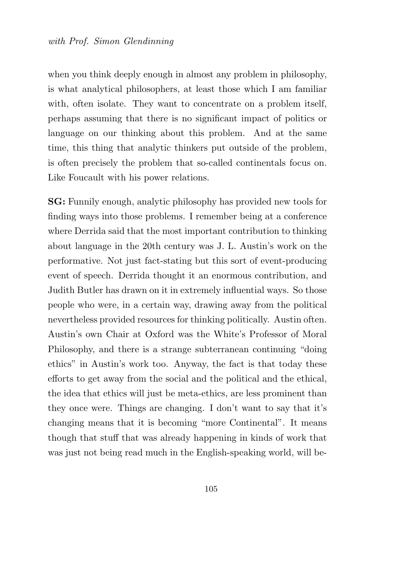when you think deeply enough in almost any problem in philosophy, is what analytical philosophers, at least those which I am familiar with, often isolate. They want to concentrate on a problem itself, perhaps assuming that there is no significant impact of politics or language on our thinking about this problem. And at the same time, this thing that analytic thinkers put outside of the problem, is often precisely the problem that so-called continentals focus on. Like Foucault with his power relations.

SG: Funnily enough, analytic philosophy has provided new tools for finding ways into those problems. I remember being at a conference where Derrida said that the most important contribution to thinking about language in the 20th century was J. L. Austin's work on the performative. Not just fact-stating but this sort of event-producing event of speech. Derrida thought it an enormous contribution, and Judith Butler has drawn on it in extremely influential ways. So those people who were, in a certain way, drawing away from the political nevertheless provided resources for thinking politically. Austin often. Austin's own Chair at Oxford was the White's Professor of Moral Philosophy, and there is a strange subterranean continuing "doing ethics" in Austin's work too. Anyway, the fact is that today these efforts to get away from the social and the political and the ethical, the idea that ethics will just be meta-ethics, are less prominent than they once were. Things are changing. I don't want to say that it's changing means that it is becoming "more Continental". It means though that stuff that was already happening in kinds of work that was just not being read much in the English-speaking world, will be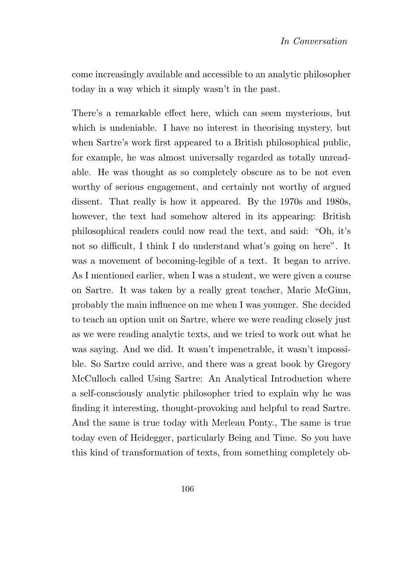come increasingly available and accessible to an analytic philosopher today in a way which it simply wasn't in the past.

There's a remarkable effect here, which can seem mysterious, but which is undeniable. I have no interest in theorising mystery, but when Sartre's work first appeared to a British philosophical public, for example, he was almost universally regarded as totally unreadable. He was thought as so completely obscure as to be not even worthy of serious engagement, and certainly not worthy of argued dissent. That really is how it appeared. By the 1970s and 1980s, however, the text had somehow altered in its appearing: British philosophical readers could now read the text, and said: "Oh, it's not so difficult, I think I do understand what's going on here". It was a movement of becoming-legible of a text. It began to arrive. As I mentioned earlier, when I was a student, we were given a course on Sartre. It was taken by a really great teacher, Marie McGinn, probably the main influence on me when I was younger. She decided to teach an option unit on Sartre, where we were reading closely just as we were reading analytic texts, and we tried to work out what he was saying. And we did. It wasn't impenetrable, it wasn't impossible. So Sartre could arrive, and there was a great book by Gregory McCulloch called Using Sartre: An Analytical Introduction where a self-consciously analytic philosopher tried to explain why he was finding it interesting, thought-provoking and helpful to read Sartre. And the same is true today with Merleau Ponty., The same is true today even of Heidegger, particularly Being and Time. So you have this kind of transformation of texts, from something completely ob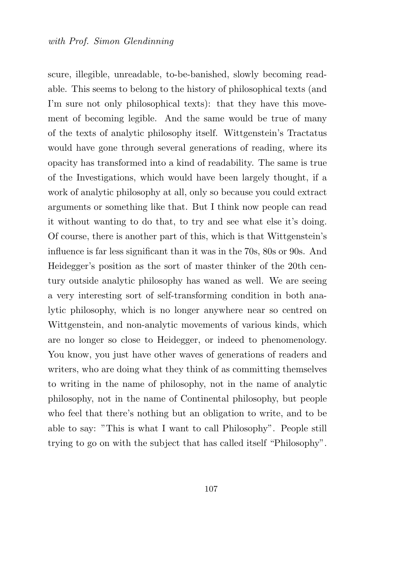scure, illegible, unreadable, to-be-banished, slowly becoming readable. This seems to belong to the history of philosophical texts (and I'm sure not only philosophical texts): that they have this movement of becoming legible. And the same would be true of many of the texts of analytic philosophy itself. Wittgenstein's Tractatus would have gone through several generations of reading, where its opacity has transformed into a kind of readability. The same is true of the Investigations, which would have been largely thought, if a work of analytic philosophy at all, only so because you could extract arguments or something like that. But I think now people can read it without wanting to do that, to try and see what else it's doing. Of course, there is another part of this, which is that Wittgenstein's influence is far less significant than it was in the 70s, 80s or 90s. And Heidegger's position as the sort of master thinker of the 20th century outside analytic philosophy has waned as well. We are seeing a very interesting sort of self-transforming condition in both analytic philosophy, which is no longer anywhere near so centred on Wittgenstein, and non-analytic movements of various kinds, which are no longer so close to Heidegger, or indeed to phenomenology. You know, you just have other waves of generations of readers and writers, who are doing what they think of as committing themselves to writing in the name of philosophy, not in the name of analytic philosophy, not in the name of Continental philosophy, but people who feel that there's nothing but an obligation to write, and to be able to say: "This is what I want to call Philosophy". People still trying to go on with the subject that has called itself "Philosophy".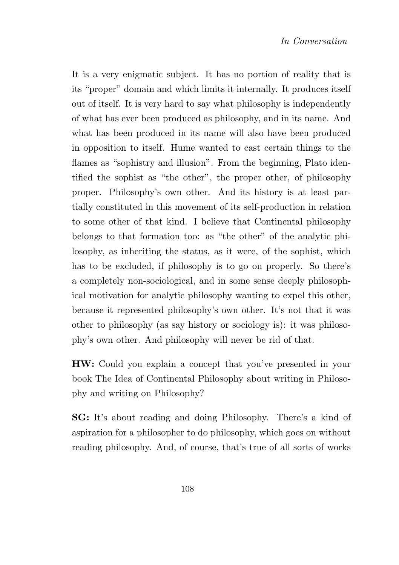It is a very enigmatic subject. It has no portion of reality that is its "proper" domain and which limits it internally. It produces itself out of itself. It is very hard to say what philosophy is independently of what has ever been produced as philosophy, and in its name. And what has been produced in its name will also have been produced in opposition to itself. Hume wanted to cast certain things to the flames as "sophistry and illusion". From the beginning, Plato identified the sophist as "the other", the proper other, of philosophy proper. Philosophy's own other. And its history is at least partially constituted in this movement of its self-production in relation to some other of that kind. I believe that Continental philosophy belongs to that formation too: as "the other" of the analytic philosophy, as inheriting the status, as it were, of the sophist, which has to be excluded, if philosophy is to go on properly. So there's a completely non-sociological, and in some sense deeply philosophical motivation for analytic philosophy wanting to expel this other, because it represented philosophy's own other. It's not that it was other to philosophy (as say history or sociology is): it was philosophy's own other. And philosophy will never be rid of that.

HW: Could you explain a concept that you've presented in your book The Idea of Continental Philosophy about writing in Philosophy and writing on Philosophy?

SG: It's about reading and doing Philosophy. There's a kind of aspiration for a philosopher to do philosophy, which goes on without reading philosophy. And, of course, that's true of all sorts of works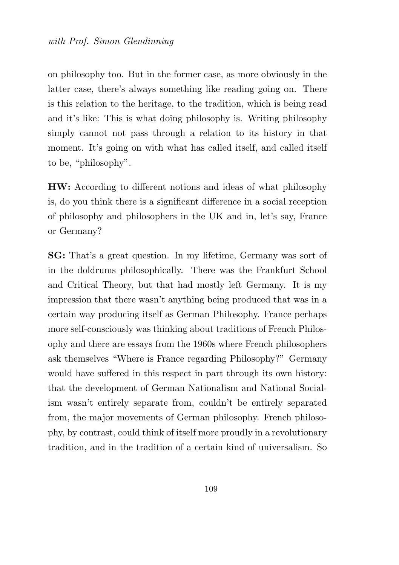on philosophy too. But in the former case, as more obviously in the latter case, there's always something like reading going on. There is this relation to the heritage, to the tradition, which is being read and it's like: This is what doing philosophy is. Writing philosophy simply cannot not pass through a relation to its history in that moment. It's going on with what has called itself, and called itself to be, "philosophy".

HW: According to different notions and ideas of what philosophy is, do you think there is a significant difference in a social reception of philosophy and philosophers in the UK and in, let's say, France or Germany?

SG: That's a great question. In my lifetime, Germany was sort of in the doldrums philosophically. There was the Frankfurt School and Critical Theory, but that had mostly left Germany. It is my impression that there wasn't anything being produced that was in a certain way producing itself as German Philosophy. France perhaps more self-consciously was thinking about traditions of French Philosophy and there are essays from the 1960s where French philosophers ask themselves "Where is France regarding Philosophy?" Germany would have suffered in this respect in part through its own history: that the development of German Nationalism and National Socialism wasn't entirely separate from, couldn't be entirely separated from, the major movements of German philosophy. French philosophy, by contrast, could think of itself more proudly in a revolutionary tradition, and in the tradition of a certain kind of universalism. So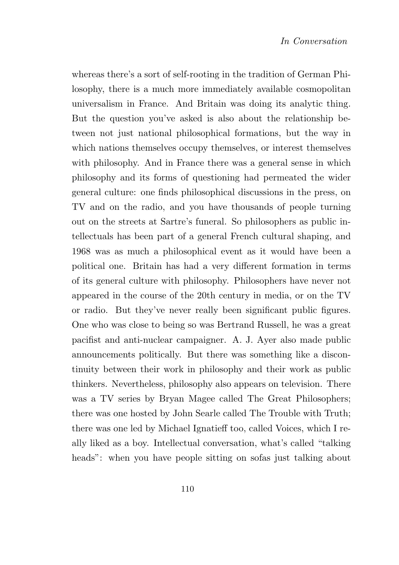whereas there's a sort of self-rooting in the tradition of German Philosophy, there is a much more immediately available cosmopolitan universalism in France. And Britain was doing its analytic thing. But the question you've asked is also about the relationship between not just national philosophical formations, but the way in which nations themselves occupy themselves, or interest themselves with philosophy. And in France there was a general sense in which philosophy and its forms of questioning had permeated the wider general culture: one finds philosophical discussions in the press, on TV and on the radio, and you have thousands of people turning out on the streets at Sartre's funeral. So philosophers as public intellectuals has been part of a general French cultural shaping, and 1968 was as much a philosophical event as it would have been a political one. Britain has had a very different formation in terms of its general culture with philosophy. Philosophers have never not appeared in the course of the 20th century in media, or on the TV or radio. But they've never really been significant public figures. One who was close to being so was Bertrand Russell, he was a great pacifist and anti-nuclear campaigner. A. J. Ayer also made public announcements politically. But there was something like a discontinuity between their work in philosophy and their work as public thinkers. Nevertheless, philosophy also appears on television. There was a TV series by Bryan Magee called The Great Philosophers; there was one hosted by John Searle called The Trouble with Truth; there was one led by Michael Ignatieff too, called Voices, which I really liked as a boy. Intellectual conversation, what's called "talking heads": when you have people sitting on sofas just talking about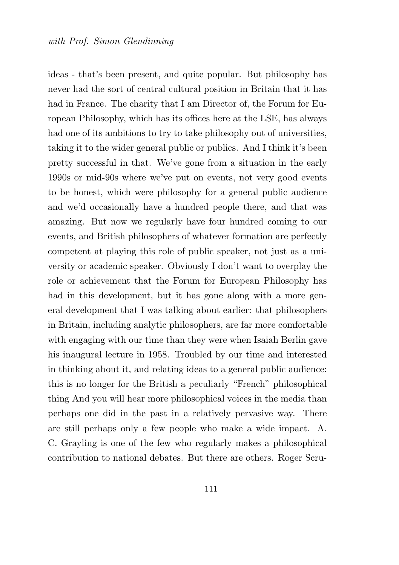ideas - that's been present, and quite popular. But philosophy has never had the sort of central cultural position in Britain that it has had in France. The charity that I am Director of, the Forum for European Philosophy, which has its offices here at the LSE, has always had one of its ambitions to try to take philosophy out of universities, taking it to the wider general public or publics. And I think it's been pretty successful in that. We've gone from a situation in the early 1990s or mid-90s where we've put on events, not very good events to be honest, which were philosophy for a general public audience and we'd occasionally have a hundred people there, and that was amazing. But now we regularly have four hundred coming to our events, and British philosophers of whatever formation are perfectly competent at playing this role of public speaker, not just as a university or academic speaker. Obviously I don't want to overplay the role or achievement that the Forum for European Philosophy has had in this development, but it has gone along with a more general development that I was talking about earlier: that philosophers in Britain, including analytic philosophers, are far more comfortable with engaging with our time than they were when Isaiah Berlin gave his inaugural lecture in 1958. Troubled by our time and interested in thinking about it, and relating ideas to a general public audience: this is no longer for the British a peculiarly "French" philosophical thing And you will hear more philosophical voices in the media than perhaps one did in the past in a relatively pervasive way. There are still perhaps only a few people who make a wide impact. A. C. Grayling is one of the few who regularly makes a philosophical contribution to national debates. But there are others. Roger Scru